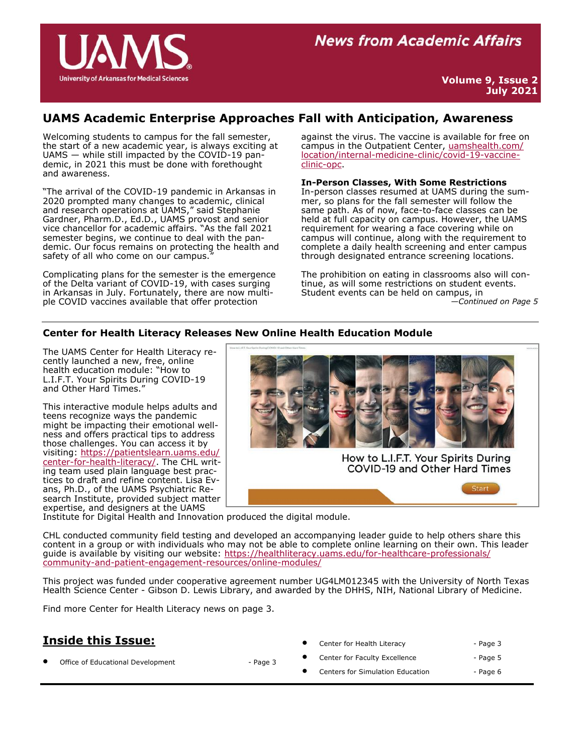

## **UAMS Academic Enterprise Approaches Fall with Anticipation, Awareness**

Welcoming students to campus for the fall semester, the start of a new academic year, is always exciting at UAMS — while still impacted by the COVID-19 pandemic, in 2021 this must be done with forethought and awareness.

"The arrival of the COVID-19 pandemic in Arkansas in 2020 prompted many changes to academic, clinical and research operations at UAMS," said Stephanie Gardner, Pharm.D., Ed.D., UAMS provost and senior vice chancellor for academic affairs. "As the fall 2021 semester begins, we continue to deal with the pandemic. Our focus remains on protecting the health and safety of all who come on our campus.

Complicating plans for the semester is the emergence of the Delta variant of COVID-19, with cases surging in Arkansas in July. Fortunately, there are now multiple COVID vaccines available that offer protection

against the virus. The vaccine is available for free on campus in the Outpatient Center, [uamshealth.com/](https://uamshealth.com/location/internal-medicine-clinic/covid-19-vaccine-clinic-opc) [location/internal](https://uamshealth.com/location/internal-medicine-clinic/covid-19-vaccine-clinic-opc)-medicine-clinic/covid-19-vaccine[clinic](https://uamshealth.com/location/internal-medicine-clinic/covid-19-vaccine-clinic-opc)-opc.

**In-Person Classes, With Some Restrictions**

In-person classes resumed at UAMS during the summer, so plans for the fall semester will follow the same path. As of now, face-to-face classes can be held at full capacity on campus. However, the UAMS requirement for wearing a face covering while on campus will continue, along with the requirement to complete a daily health screening and enter campus through designated entrance screening locations.

The prohibition on eating in classrooms also will continue, as will some restrictions on student events. Student events can be held on campus, in *—Continued on Page 5*

### **Center for Health Literacy Releases New Online Health Education Module**

The UAMS Center for Health Literacy recently launched a new, free, online health education module: "How to L.I.F.T. Your Spirits During COVID-19 and Other Hard Times."

This interactive module helps adults and teens recognize ways the pandemic might be impacting their emotional wellness and offers practical tips to address those challenges. You can access it by visiting: [https://patientslearn.uams.edu/](https://patientslearn.uams.edu/center-for-health-literacy/) center-for-health-[literacy/.](https://patientslearn.uams.edu/center-for-health-literacy/) The CHL writing team used plain language best practices to draft and refine content. Lisa Evans, Ph.D., of the UAMS Psychiatric Research Institute, provided subject matter expertise, and designers at the UAMS



Institute for Digital Health and Innovation produced the digital module.

CHL conducted community field testing and developed an accompanying leader guide to help others share this content in a group or with individuals who may not be able to complete online learning on their own. This leader guide is available by visiting our website: [https://healthliteracy.uams.edu/for](https://healthliteracy.uams.edu/for-healthcare-professionals/community-and-patient-engagement-resources/online-modules/)-healthcare-professionals/ community-and-patient-engagement-[resources/online](https://healthliteracy.uams.edu/for-healthcare-professionals/community-and-patient-engagement-resources/online-modules/)-modules/

This project was funded under cooperative agreement number UG4LM012345 with the University of North Texas Health Science Center - Gibson D. Lewis Library, and awarded by the DHHS, NIH, National Library of Medicine.

Find more Center for Health Literacy news on page 3.

## **Inside this Issue:**

Office of Educational Development - Page 3

Center for Health Literacy **Center for Health Literacy - Page 3** Center for Faculty Excellence - Page 5 Centers for Simulation Education - Page 6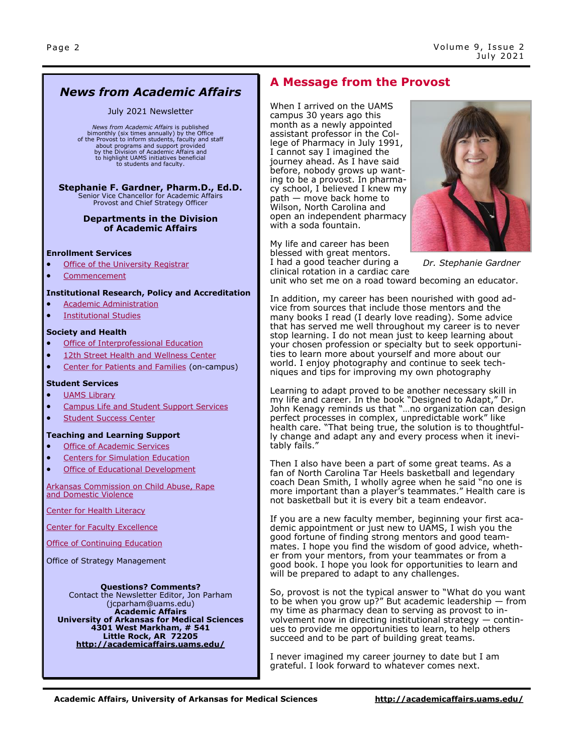## *News from Academic Affairs*

#### July 2021 Newsletter

*News from Academic Affairs* is published<br>bimonthly (six times annually) by the Office<br>of the Provost to inform students, faculty and staff about programs and support provided by the Division of Academic Affairs and to highlight UAMS initiatives beneficial to students and faculty.

# **Stephanie F. Gardner, Pharm.D., Ed.D.**<br>Senior Vice Chancellor for Academic Affairs

Provost and Chief Strategy Officer

#### **Departments in the Division of Academic Affairs**

#### **Enrollment Services**

- [Office of the University Registrar](http://registrar.uams.edu)
- [Commencement](http://commencement.uams.edu/)

#### **Institutional Research, Policy and Accreditation**

- [Academic Administration](http://academicaffairs.uams.edu/departments/esaa/)
- [Institutional Studies](http://academicaffairs.uams.edu/academic-support-and-services/institutional-studies/office-of-institutional-studies/)

#### **Society and Health**

- [Office of Interprofessional Education](http://ipe.uams.edu/)
- [12th Street Health and Wellness Center](http://healthon12th.uams.edu/)
- [Center for Patients and Families](http://inside.uams.edu/pfcc/) (on-campus)

#### **Student Services**

- [UAMS Library](http://library.uams.edu/)
- [Campus Life and Student Support Services](http://studentlife.uams.edu/)
- [Student Success Center](http://library.uams.edu/library-info/aassc/)
- **Teaching and Learning Support**
- [Office of Academic Services](http://oas.uams.edu/)
- [Centers for Simulation Education](http://medicalsim.uams.edu/)
- [Office of Educational Development](http://www.uams.edu/oed/)

#### [Arkansas Commission on Child Abuse, Rape](http://accardv.uams.edu/)  [and Domestic Violence](http://accardv.uams.edu/)

[Center for Health Literacy](http://healthliteracy.uams.edu/)

[Center for Faculty Excellence](https://faculty.uams.edu/)

[Office of Continuing Education](https://ce.uams.edu/?_ga=2.147633022.877535657.1552308613-1212331186.1541086923)

Office of Strategy Management

#### **Questions? Comments?**

Contact the Newsletter Editor, Jon Parham [\(jcparham@uams.edu\)](mailto:jdelavan@uams.edu) **Academic Affairs University of Arkansas for Medical Sciences 4301 West Markham, # 541 Little Rock, AR 72205 <http://academicaffairs.uams.edu/>**

## **A Message from the Provost**

When I arrived on the UAMS campus 30 years ago this month as a newly appointed assistant professor in the College of Pharmacy in July 1991, I cannot say I imagined the journey ahead. As I have said before, nobody grows up wanting to be a provost. In pharmacy school, I believed I knew my path — move back home to Wilson, North Carolina and open an independent pharmacy with a soda fountain.

My life and career has been blessed with great mentors. I had a good teacher during a clinical rotation in a cardiac care



unit who set me on a road toward becoming an educator.

In addition, my career has been nourished with good advice from sources that include those mentors and the many books I read (I dearly love reading). Some advice that has served me well throughout my career is to never stop learning. I do not mean just to keep learning about your chosen profession or specialty but to seek opportunities to learn more about yourself and more about our world. I enjoy photography and continue to seek techniques and tips for improving my own photography

Learning to adapt proved to be another necessary skill in my life and career. In the book "Designed to Adapt," Dr. John Kenagy reminds us that "…no organization can design perfect processes in complex, unpredictable work" like health care. "That being true, the solution is to thoughtfully change and adapt any and every process when it inevitably fails."

Then I also have been a part of some great teams. As a fan of North Carolina Tar Heels basketball and legendary coach Dean Smith, I wholly agree when he said "no one is more important than a player's teammates." Health care is not basketball but it is every bit a team endeavor.

If you are a new faculty member, beginning your first academic appointment or just new to UAMS, I wish you the good fortune of finding strong mentors and good teammates. I hope you find the wisdom of good advice, whether from your mentors, from your teammates or from a good book. I hope you look for opportunities to learn and will be prepared to adapt to any challenges.

So, provost is not the typical answer to "What do you want to be when you grow up?" But academic leadership  $-$  from my time as pharmacy dean to serving as provost to involvement now in directing institutional strategy — continues to provide me opportunities to learn, to help others succeed and to be part of building great teams.

I never imagined my career journey to date but I am grateful. I look forward to whatever comes next.

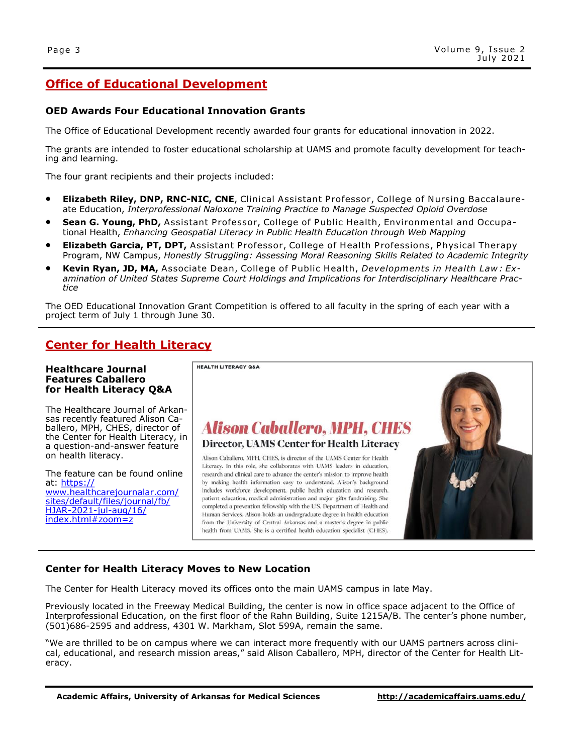## **Office of Educational Development**

### **OED Awards Four Educational Innovation Grants**

The Office of Educational Development recently awarded four grants for educational innovation in 2022.

The grants are intended to foster educational scholarship at UAMS and promote faculty development for teaching and learning.

The four grant recipients and their projects included:

- **Elizabeth Riley, DNP, RNC-NIC, CNE**, Clinical Assistant P rofessor, College of Nursing Baccalaureate Education, *Interprofessional Naloxone Training Practice to Manage Suspected Opioid Overdose*
- **Sean G. Young, PhD,** Assistant Professor, College of Public Health, Environmental and Occupational Health, *Enhancing Geospatial Literacy in Public Health Education through Web Mapping*
- **Elizabeth Garcia, PT, DPT,** Assistant Professor, College of Health Professions, Physical Therapy Program, NW Campus, *Honestly Struggling: Assessing Moral Reasoning Skills Related to Academic Integrity*
- **Kevin Ryan, JD, MA,** Associate Dean, College of Public Health, *Developments in Health Law: Examination of United States Supreme Court Holdings and Implications for Interdisciplinary Healthcare Practice*

The OED Educational Innovation Grant Competition is offered to all faculty in the spring of each year with a project term of July 1 through June 30.

## **Center for Health Literacy**

#### **Healthcare Journal Features Caballero for Health Literacy Q&A**

The Healthcare Journal of Arkansas recently featured Alison Caballero, MPH, CHES, director of the Center for Health Literacy, in a question-and-answer feature on health literacy.

The feature can be found online at: [https://](https://www.healthcarejournalar.com/sites/default/files/journal/fb/HJAR-2021-jul-aug/16/index.html#zoom=z) [www.healthcarejournalar.com/](https://www.healthcarejournalar.com/sites/default/files/journal/fb/HJAR-2021-jul-aug/16/index.html#zoom=z) [sites/default/files/journal/fb/](https://www.healthcarejournalar.com/sites/default/files/journal/fb/HJAR-2021-jul-aug/16/index.html#zoom=z) HJAR-2021-jul-[aug/16/](https://www.healthcarejournalar.com/sites/default/files/journal/fb/HJAR-2021-jul-aug/16/index.html#zoom=z) [index.html#zoom=z](https://www.healthcarejournalar.com/sites/default/files/journal/fb/HJAR-2021-jul-aug/16/index.html#zoom=z)



### **Center for Health Literacy Moves to New Location**

The Center for Health Literacy moved its offices onto the main UAMS campus in late May.

Previously located in the Freeway Medical Building, the center is now in office space adjacent to the Office of Interprofessional Education, on the first floor of the Rahn Building, Suite 1215A/B. The center's phone number, (501)686-2595 and address, 4301 W. Markham, Slot 599A, remain the same.

"We are thrilled to be on campus where we can interact more frequently with our UAMS partners across clinical, educational, and research mission areas," said Alison Caballero, MPH, director of the Center for Health Literacy.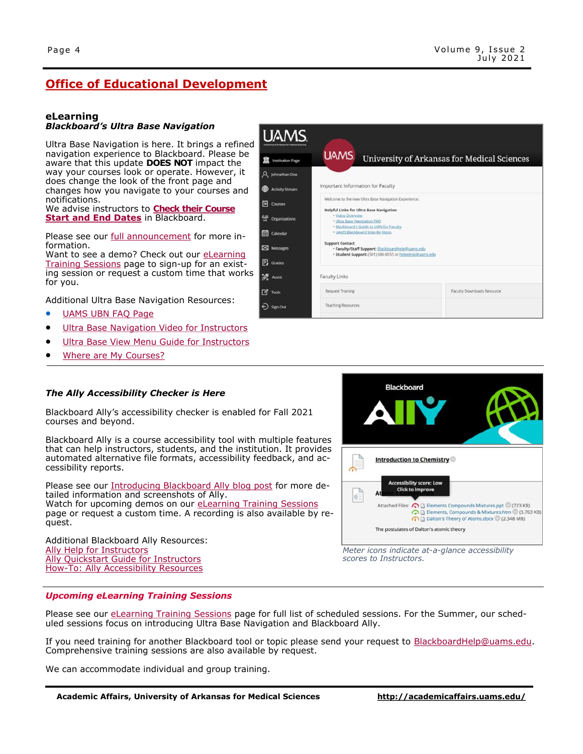Faculty Downloads Resource

**University of Arkansas for Medical Sciences** 

## **Office of Educational Development**

### **eLearning**

### *Blackboard's Ultra Base Navigation*

Ultra Base Navigation is here. It brings a refined navigation experience to Blackboard. Please be aware that this update **DOES NOT** impact the way your courses look or operate. However, it does change the look of the front page and changes how you navigate to your courses and notifications.

We advise instructors to **[Check their Course](http://educationaldevelopment.uams.edu/wp-content/uploads/sites/125/2021/05/SBS_Changing-Course_Dates.pdf)  [Start and End Dates](http://educationaldevelopment.uams.edu/wp-content/uploads/sites/125/2021/05/SBS_Changing-Course_Dates.pdf)** in Blackboard.

Please see our [full announcement](http://educationaldevelopment.uams.edu/2021/04/01/announcing-ultra-base-navigation/) for more information.

Want to see a demo? Check out our eLearning [Training Sessions](http://educationaldevelopment.uams.edu/elearning/elearning-training-sessions/) page to sign-up for an existing session or request a custom time that works for you.

Additional Ultra Base Navigation Resources:

- [UAMS UBN FAQ Page](http://educationaldevelopment.uams.edu/ubn-blog/)
- [Ultra Base Navigation Video for Instructors](https://www.youtube.com/watch?v=vaKTG9Rxi0Q)
- [Ultra Base View Menu Guide for Instructors](https://help.blackboard.com/Learn/Instructor/Getting_Started/Navigate_Outside_a_Course#ultra-easy-navigation_OTP-2)
- [Where are My Courses?](http://educationaldevelopment.uams.edu/2021/03/01/where-are-my-courses/)



Blackboard Ally's accessibility checker is enabled for Fall 2021 courses and beyond.

Blackboard Ally is a course accessibility tool with multiple features that can help instructors, students, and the institution. It provides automated alternative file formats, accessibility feedback, and accessibility reports.

Please see our [Introducing Blackboard Ally blog post](http://educationaldevelopment.uams.edu/2021/05/03/introducing-blackboard-ally/) for more detailed information and screenshots of Ally. Watch for upcoming demos on our [eLearning Training Sessions](http://educationaldevelopment.uams.edu/elearning/elearning-training-sessions/) page or request a custom time. A recording is also available by request.

Additional Blackboard Ally Resources: [Ally Help for Instructors](https://help.blackboard.com/Ally/Ally_for_LMS/Instructor) [Ally Quickstart Guide for Instructors](https://help.blackboard.com/Ally/Ally_for_LMS/Instructor/Quick_Start) How-[To: Ally Accessibility Resources](http://educationaldevelopment.uams.edu/trh/bbht/#ally)



*Meter icons indicate at-a-glance accessibility scores to Instructors.* 

#### *Upcoming eLearning Training Sessions*

Please see our [eLearning Training Sessions](http://educationaldevelopment.uams.edu/elearning/elearning-training-sessions/) page for full list of scheduled sessions. For the Summer, our scheduled sessions focus on introducing Ultra Base Navigation and Blackboard Ally.

**UAMS** 

Q Johnathan Dor

Activity Stream

 $\overline{\mathbb{B}}$  Courses

<sup>9</sup><sup>4</sup> Organizations

Calendar

**EXI** Messages

**同** Grades  $\mathscr{D}_{\mathfrak{a}}$  Assist

 $\mathbb{Z}$  Tools

 $\Theta$  sign out

**UAMS** 

**Support Contact** 

**Faculty Links** 

**Request Training** 

**Teaching Resources** 

Important Information for Faculty

**Helpful Links for Ultra Base Navigation** 

- UAMS Blackboard Step-By-Step:

. Ultra Base Navigation FAO Blackboard's Guide to UEN for Faculty

Welcome to the new Ultra Base Navigation Experience.

ons consess<br>• Faculty/Staff Support: <u>BlackboardHelp@uams.edu</u><br>• Student Support: (501) 686-8555 or <u>helpdesk@uams.edu</u>

If you need training for another Blackboard tool or topic please send your request to BlackboardHelp@uams.edu. Comprehensive training sessions are also available by request.

We can accommodate individual and group training.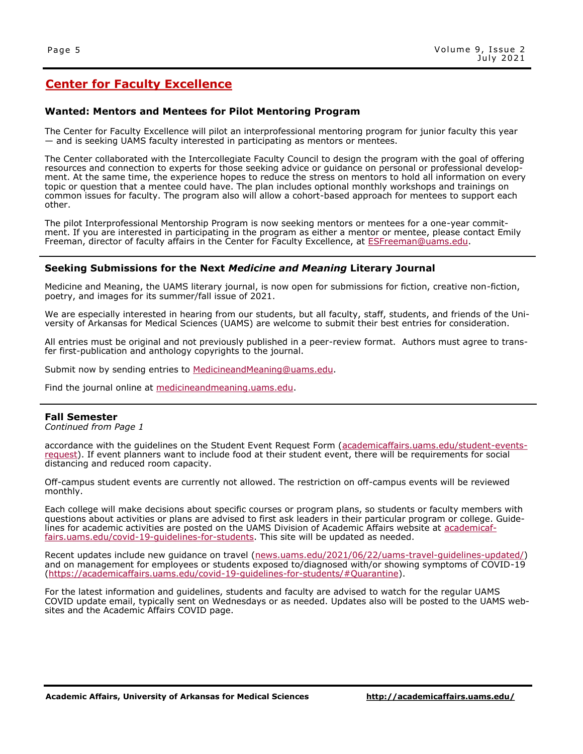## **Center for Faculty Excellence**

### **Wanted: Mentors and Mentees for Pilot Mentoring Program**

The Center for Faculty Excellence will pilot an interprofessional mentoring program for junior faculty this year — and is seeking UAMS faculty interested in participating as mentors or mentees.

The Center collaborated with the Intercollegiate Faculty Council to design the program with the goal of offering resources and connection to experts for those seeking advice or guidance on personal or professional development. At the same time, the experience hopes to reduce the stress on mentors to hold all information on every topic or question that a mentee could have. The plan includes optional monthly workshops and trainings on common issues for faculty. The program also will allow a cohort-based approach for mentees to support each other.

The pilot Interprofessional Mentorship Program is now seeking mentors or mentees for a one-year commitment. If you are interested in participating in the program as either a mentor or mentee, please contact Emily Freeman, director of faculty affairs in the Center for Faculty Excellence, at **ESFreeman@uams.edu.** 

### **Seeking Submissions for the Next** *Medicine and Meaning* **Literary Journal**

Medicine and Meaning, the UAMS literary journal, is now open for submissions for fiction, creative non-fiction, poetry, and images for its summer/fall issue of 2021.

We are especially interested in hearing from our students, but all faculty, staff, students, and friends of the University of Arkansas for Medical Sciences (UAMS) are welcome to submit their best entries for consideration.

All entries must be original and not previously published in a peer-review format. Authors must agree to transfer first-publication and anthology copyrights to the journal.

Submit now by sending entries to [MedicineandMeaning@uams.edu.](mailto:MedicineandMeaning@uams.edu)

Find the journal online at [medicineandmeaning.uams.edu.](https://medicineandmeaning.uams.edu/)

### **Fall Semester**

*Continued from Page 1*

accordance with the guidelines on the Student Event Request Form ([academicaffairs.uams.edu/student](https://academicaffairs.uams.edu/student-events-request/)-events[request\)](https://academicaffairs.uams.edu/student-events-request/). If event planners want to include food at their student event, there will be requirements for social distancing and reduced room capacity.

Off-campus student events are currently not allowed. The restriction on off-campus events will be reviewed monthly.

Each college will make decisions about specific courses or program plans, so students or faculty members with questions about activities or plans are advised to first ask leaders in their particular program or college. Guidelines for academic activities are posted on the UAMS Division of Academic Affairs website at [academicaf](https://academicaffairs.uams.edu/covid-19-guidelines-for-students/)[fairs.uams.edu/covid](https://academicaffairs.uams.edu/covid-19-guidelines-for-students/)-19-quidelines-for-students. This site will be updated as needed.

Recent updates include new guidance on travel ([news.uams.edu/2021/06/22/uams](https://news.uams.edu/2021/06/22/uams-travel-guidelines-updated/)-travel-guidelines-updated/) and on management for employees or students exposed to/diagnosed with/or showing symptoms of COVID-19 [\(https://academicaffairs.uams.edu/covid](https://academicaffairs.uams.edu/covid-19-guidelines-for-students/#Quarantine)-19-guidelines-for-students/#Quarantine).

For the latest information and guidelines, students and faculty are advised to watch for the regular UAMS COVID update email, typically sent on Wednesdays or as needed. Updates also will be posted to the UAMS websites and the Academic Affairs COVID page.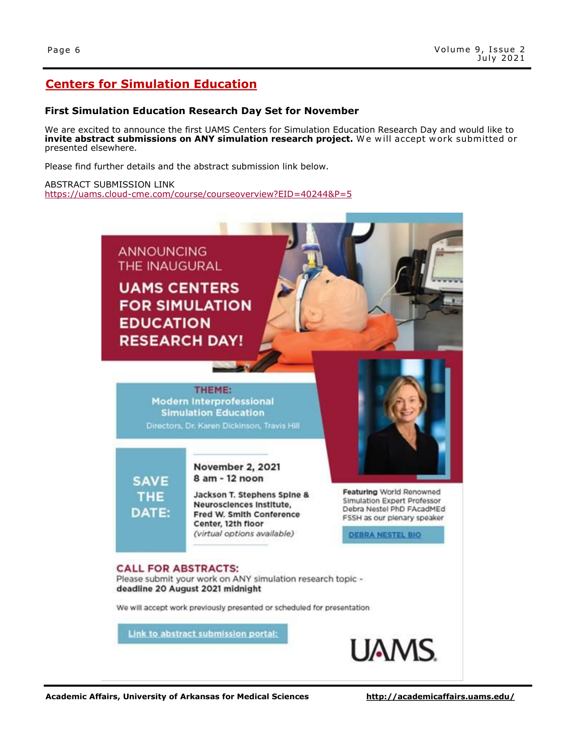## **Centers for Simulation Education**

### **First Simulation Education Research Day Set for November**

We are excited to announce the first UAMS Centers for Simulation Education Research Day and would like to **invite abstract submissions on ANY simulation research project.** We will accept work submitted or presented elsewhere.

Please find further details and the abstract submission link below.

ABSTRACT SUBMISSION LINK https://uams.cloud-[cme.com/course/courseoverview?EID=40244&P=5](https://uams.cloud-cme.com/course/courseoverview?EID=40244&P=5)

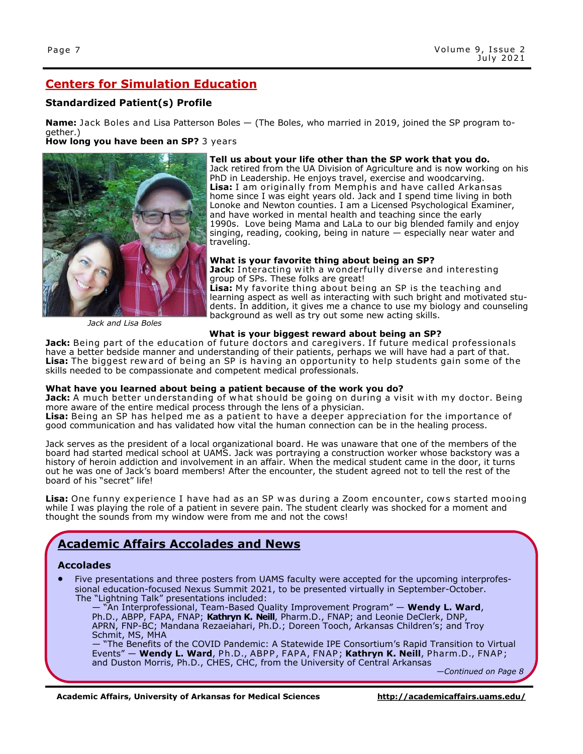## **Centers for Simulation Education**

## **Standardized Patient(s) Profile**

**Name:** Jack Boles and Lisa Patterson Boles – (The Boles, who married in 2019, joined the SP program together.)

**How long you have been an SP?** 3 years



#### **Tell us about your life other than the SP work that you do.**

Jack retired from the UA Division of Agriculture and is now working on his PhD in Leadership. He enjoys travel, exercise and woodcarving. **Lisa:** I am originally from Memphis and have called Arkansas home since I was eight years old. Jack and I spend time living in both Lonoke and Newton counties. I am a Licensed Psychological Examiner, and have worked in mental health and teaching since the early 1990s. Love being Mama and LaLa to our big blended family and enjoy singing, reading, cooking, being in nature — especially near water and traveling.

#### **What is your favorite thing about being an SP?**

Jack: Interacting with a wonderfully diverse and interesting group of SPs. These folks are great! **Lisa:** My favorite thing about being an SP is the teaching and learning aspect as well as interacting with such bright and motivated students. In addition, it gives me a chance to use my biology and counseling background as well as try out some new acting skills.

*Jack and Lisa Boles*

#### **What is your biggest reward about being an SP?**

Jack: Being part of the education of future doctors and caregivers. If future medical professionals have a better bedside manner and understanding of their patients, perhaps we will have had a part of that. **Lisa:** The biggest rew ard of being an SP is having an opportunity to help students gain some of the skills needed to be compassionate and competent medical professionals.

### **What have you learned about being a patient because of the work you do?**

**Jack:** A much better understanding of what should be going on during a visit with my doctor. Being more aware of the entire medical process through the lens of a physician.

Lisa: Being an SP has helped me as a patient to have a deeper appreciation for the importance of good communication and has validated how vital the human connection can be in the healing process.

Jack serves as the president of a local organizational board. He was unaware that one of the members of the board had started medical school at UAMS. Jack was portraying a construction worker whose backstory was a history of heroin addiction and involvement in an affair. When the medical student came in the door, it turns out he was one of Jack's board members! After the encounter, the student agreed not to tell the rest of the board of his "secret" life!

Lisa: One funny experience I have had as an SP was during a Zoom encounter, cows started mooing while I was playing the role of a patient in severe pain. The student clearly was shocked for a moment and thought the sounds from my window were from me and not the cows!

## **Academic Affairs Accolades and News**

### **Accolades**

• Five presentations and three posters from UAMS faculty were accepted for the upcoming interprofessional education-focused Nexus Summit 2021, to be presented virtually in September-October. The "Lightning Talk" presentations included:

— "An Interprofessional, Team-Based Quality Improvement Program" — **Wendy L. Ward**, Ph.D., ABPP, FAPA, FNAP; **Kathryn K. Neill**, Pharm.D., FNAP; and Leonie DeClerk, DNP, APRN, FNP-BC; Mandana Rezaeiahari, Ph.D.; Doreen Tooch, Arkansas Children's; and Troy Schmit, MS, MHA

— "The Benefits of the COVID Pandemic: A Statewide IPE Consortium's Rapid Transition to Virtual Events" — **Wendy L. Ward**, Ph.D., ABPP, FAPA, FNAP; **Kathryn K. Neill**, Pharm.D., FNAP; and Duston Morris, Ph.D., CHES, CHC, from the University of Central Arkansas

*—Continued on Page 8*